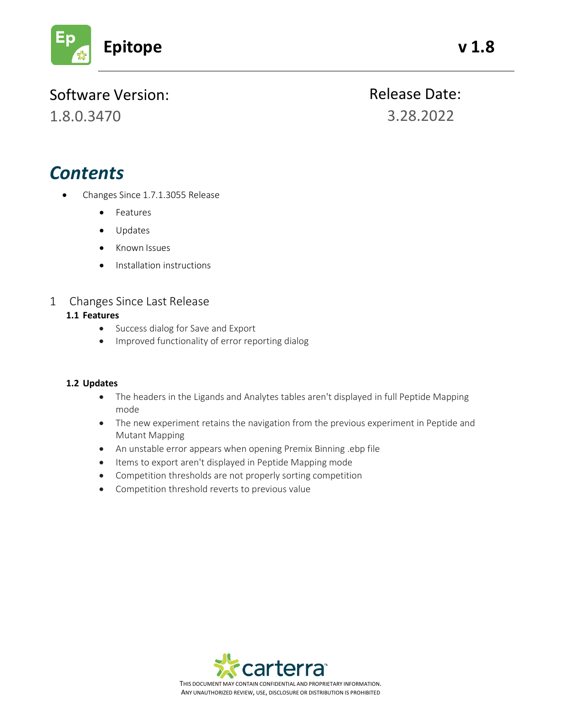

# Software Version:

1.8.0.3470

Release Date: 3.28.2022

# *Contents*

- Changes Since 1.7.1.3055 Release
	- Features
	- Updates
	- Known Issues
	- Installation instructions

## 1 Changes Since Last Release

#### **1.1 Features**

- Success dialog for Save and Export
- Improved functionality of error reporting dialog

#### **1.2 Updates**

- The headers in the Ligands and Analytes tables aren't displayed in full Peptide Mapping mode
- The new experiment retains the navigation from the previous experiment in Peptide and Mutant Mapping
- An unstable error appears when opening Premix Binning .ebp file
- Items to export aren't displayed in Peptide Mapping mode
- Competition thresholds are not properly sorting competition
- Competition threshold reverts to previous value